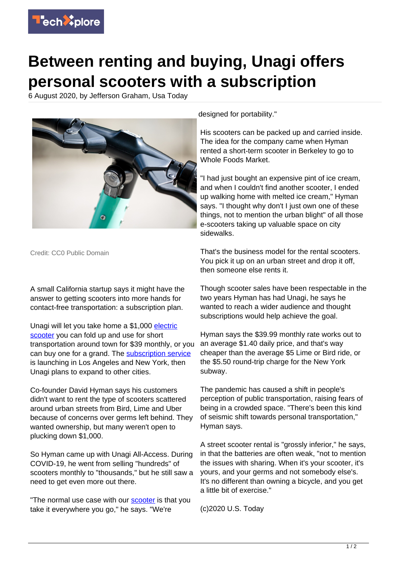

## **Between renting and buying, Unagi offers personal scooters with a subscription**

6 August 2020, by Jefferson Graham, Usa Today



Credit: CC0 Public Domain

A small California startup says it might have the answer to getting scooters into more hands for contact-free transportation: a subscription plan.

Unagi will let you take home a \$1,000 [electric](https://techxplore.com/tags/electric+scooter/) [scooter](https://techxplore.com/tags/electric+scooter/) you can fold up and use for short transportation around town for \$39 monthly, or you can buy one for a grand. The [subscription service](https://techxplore.com/tags/subscription+service/) is launching in Los Angeles and New York, then Unagi plans to expand to other cities.

Co-founder David Hyman says his customers didn't want to rent the type of scooters scattered around urban streets from Bird, Lime and Uber because of concerns over germs left behind. They wanted ownership, but many weren't open to plucking down \$1,000.

So Hyman came up with Unagi All-Access. During COVID-19, he went from selling "hundreds" of scooters monthly to "thousands," but he still saw a need to get even more out there.

"The normal use case with our **scooter** is that you take it everywhere you go," he says. "We're

designed for portability."

His scooters can be packed up and carried inside. The idea for the company came when Hyman rented a short-term scooter in Berkeley to go to Whole Foods Market.

"I had just bought an expensive pint of ice cream, and when I couldn't find another scooter, I ended up walking home with melted ice cream," Hyman says. "I thought why don't I just own one of these things, not to mention the urban blight" of all those e-scooters taking up valuable space on city sidewalks.

That's the business model for the rental scooters. You pick it up on an urban street and drop it off, then someone else rents it.

Though scooter sales have been respectable in the two years Hyman has had Unagi, he says he wanted to reach a wider audience and thought subscriptions would help achieve the goal.

Hyman says the \$39.99 monthly rate works out to an average \$1.40 daily price, and that's way cheaper than the average \$5 Lime or Bird ride, or the \$5.50 round-trip charge for the New York subway.

The pandemic has caused a shift in people's perception of public transportation, raising fears of being in a crowded space. "There's been this kind of seismic shift towards personal transportation," Hyman says.

A street scooter rental is "grossly inferior," he says, in that the batteries are often weak, "not to mention the issues with sharing. When it's your scooter, it's yours, and your germs and not somebody else's. It's no different than owning a bicycle, and you get a little bit of exercise."

(c)2020 U.S. Today